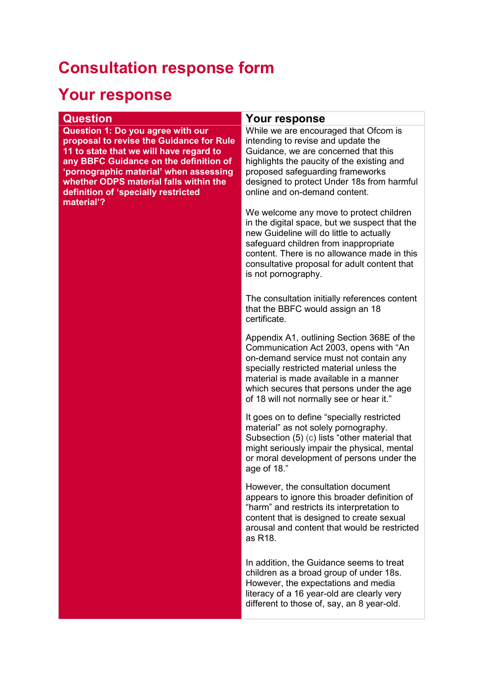## **Consultation response form**

## **Your response**

| <b>Question</b>                                                                                                                                                                                                                                                                                                    | Your response                                                                                                                                                                                                                                                                                                |
|--------------------------------------------------------------------------------------------------------------------------------------------------------------------------------------------------------------------------------------------------------------------------------------------------------------------|--------------------------------------------------------------------------------------------------------------------------------------------------------------------------------------------------------------------------------------------------------------------------------------------------------------|
| <b>Question 1: Do you agree with our</b><br>proposal to revise the Guidance for Rule<br>11 to state that we will have regard to<br>any BBFC Guidance on the definition of<br>'pornographic material' when assessing<br>whether ODPS material falls within the<br>definition of 'specially restricted<br>material'? | While we are encouraged that Ofcom is<br>intending to revise and update the<br>Guidance, we are concerned that this<br>highlights the paucity of the existing and<br>proposed safeguarding frameworks<br>designed to protect Under 18s from harmful<br>online and on-demand content.                         |
|                                                                                                                                                                                                                                                                                                                    | We welcome any move to protect children<br>in the digital space, but we suspect that the<br>new Guideline will do little to actually<br>safeguard children from inappropriate<br>content. There is no allowance made in this<br>consultative proposal for adult content that<br>is not pornography.          |
|                                                                                                                                                                                                                                                                                                                    | The consultation initially references content<br>that the BBFC would assign an 18<br>certificate.                                                                                                                                                                                                            |
|                                                                                                                                                                                                                                                                                                                    | Appendix A1, outlining Section 368E of the<br>Communication Act 2003, opens with "An<br>on-demand service must not contain any<br>specially restricted material unless the<br>material is made available in a manner<br>which secures that persons under the age<br>of 18 will not normally see or hear it." |
|                                                                                                                                                                                                                                                                                                                    | It goes on to define "specially restricted<br>material" as not solely pornography.<br>Subsection (5) (c) lists "other material that<br>might seriously impair the physical, mental<br>or moral development of persons under the<br>age of 18."                                                               |
|                                                                                                                                                                                                                                                                                                                    | However, the consultation document<br>appears to ignore this broader definition of<br>"harm" and restricts its interpretation to<br>content that is designed to create sexual<br>arousal and content that would be restricted<br>as R18.                                                                     |
|                                                                                                                                                                                                                                                                                                                    | In addition, the Guidance seems to treat<br>children as a broad group of under 18s.<br>However, the expectations and media<br>literacy of a 16 year-old are clearly very<br>different to those of, say, an 8 year-old.                                                                                       |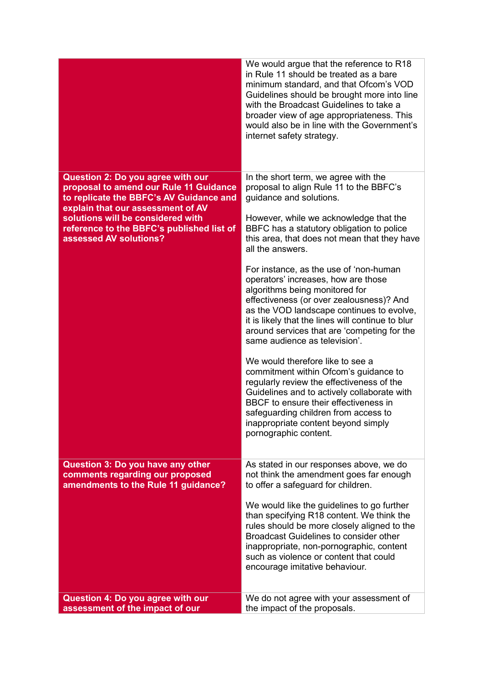|                                                                                                                                                                                                                                                                         | We would argue that the reference to R18<br>in Rule 11 should be treated as a bare<br>minimum standard, and that Ofcom's VOD<br>Guidelines should be brought more into line<br>with the Broadcast Guidelines to take a<br>broader view of age appropriateness. This<br>would also be in line with the Government's<br>internet safety strategy.                                                                                                                                                                                                                                                                                                                                                                                                                                                                                                                                                                                                  |
|-------------------------------------------------------------------------------------------------------------------------------------------------------------------------------------------------------------------------------------------------------------------------|--------------------------------------------------------------------------------------------------------------------------------------------------------------------------------------------------------------------------------------------------------------------------------------------------------------------------------------------------------------------------------------------------------------------------------------------------------------------------------------------------------------------------------------------------------------------------------------------------------------------------------------------------------------------------------------------------------------------------------------------------------------------------------------------------------------------------------------------------------------------------------------------------------------------------------------------------|
| Question 2: Do you agree with our<br>proposal to amend our Rule 11 Guidance<br>to replicate the BBFC's AV Guidance and<br>explain that our assessment of AV<br>solutions will be considered with<br>reference to the BBFC's published list of<br>assessed AV solutions? | In the short term, we agree with the<br>proposal to align Rule 11 to the BBFC's<br>guidance and solutions.<br>However, while we acknowledge that the<br>BBFC has a statutory obligation to police<br>this area, that does not mean that they have<br>all the answers.<br>For instance, as the use of 'non-human<br>operators' increases, how are those<br>algorithms being monitored for<br>effectiveness (or over zealousness)? And<br>as the VOD landscape continues to evolve,<br>it is likely that the lines will continue to blur<br>around services that are 'competing for the<br>same audience as television'.<br>We would therefore like to see a<br>commitment within Ofcom's guidance to<br>regularly review the effectiveness of the<br>Guidelines and to actively collaborate with<br>BBCF to ensure their effectiveness in<br>safeguarding children from access to<br>inappropriate content beyond simply<br>pornographic content. |
| Question 3: Do you have any other<br>comments regarding our proposed<br>amendments to the Rule 11 guidance?                                                                                                                                                             | As stated in our responses above, we do<br>not think the amendment goes far enough<br>to offer a safeguard for children.<br>We would like the guidelines to go further<br>than specifying R18 content. We think the<br>rules should be more closely aligned to the<br><b>Broadcast Guidelines to consider other</b><br>inappropriate, non-pornographic, content<br>such as violence or content that could<br>encourage imitative behaviour.                                                                                                                                                                                                                                                                                                                                                                                                                                                                                                      |
| Question 4: Do you agree with our<br>assessment of the impact of our                                                                                                                                                                                                    | We do not agree with your assessment of<br>the impact of the proposals.                                                                                                                                                                                                                                                                                                                                                                                                                                                                                                                                                                                                                                                                                                                                                                                                                                                                          |